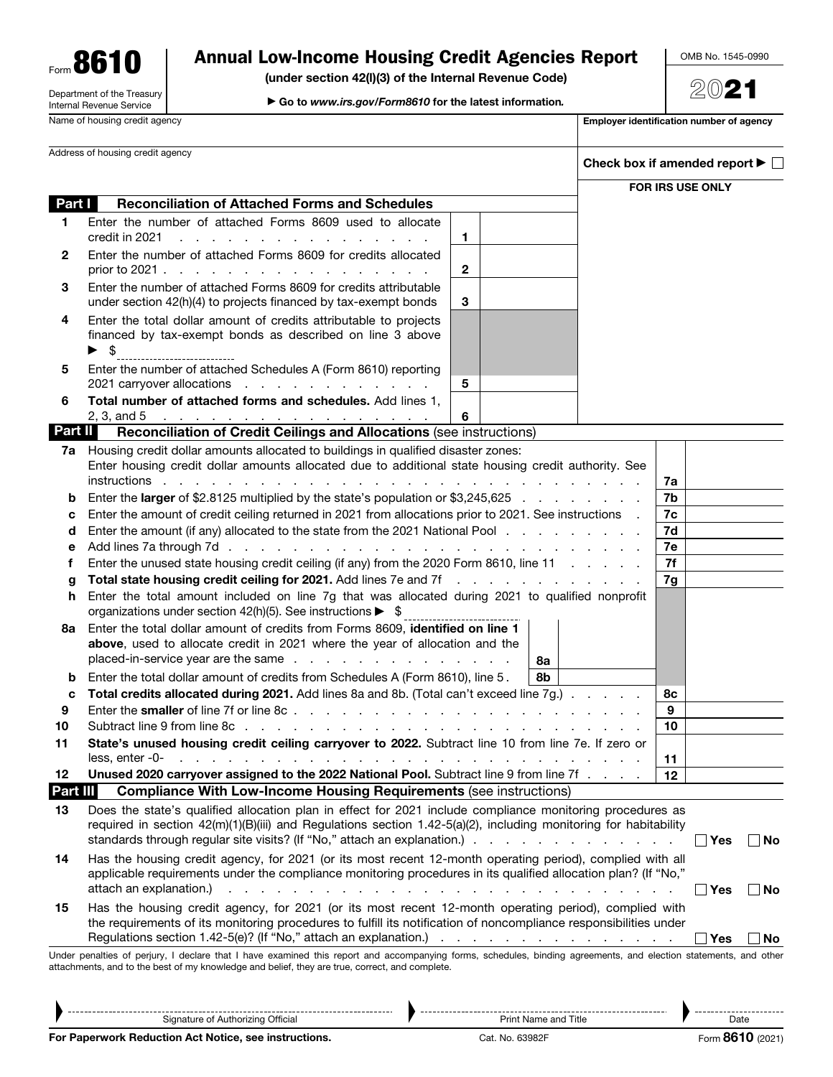Form 8610 Department of the Treasury Internal Revenue Service

# Annual Low-Income Housing Credit Agencies Report

(under section 42(l)(3) of the Internal Revenue Code)

▶ Go to *www.irs.gov/Form8610* for the latest information*.*

OMB No. 1545-0990

2021

| Name of housing credit agency    |                                                                                                                                                                                                                                                                      |              | Employer identification number of agency |  |                                                           |     |  |
|----------------------------------|----------------------------------------------------------------------------------------------------------------------------------------------------------------------------------------------------------------------------------------------------------------------|--------------|------------------------------------------|--|-----------------------------------------------------------|-----|--|
| Address of housing credit agency |                                                                                                                                                                                                                                                                      |              |                                          |  | Check box if amended report $\blacktriangleright \lbrack$ |     |  |
|                                  |                                                                                                                                                                                                                                                                      |              |                                          |  | FOR IRS USE ONLY                                          |     |  |
| Part I                           | <b>Reconciliation of Attached Forms and Schedules</b>                                                                                                                                                                                                                |              |                                          |  |                                                           |     |  |
| 1                                | Enter the number of attached Forms 8609 used to allocate<br>credit in 2021                                                                                                                                                                                           | 1            |                                          |  |                                                           |     |  |
| 2                                | a construction of the construction of the construction<br>Enter the number of attached Forms 8609 for credits allocated                                                                                                                                              |              |                                          |  |                                                           |     |  |
|                                  | prior to 2021                                                                                                                                                                                                                                                        | $\mathbf{2}$ |                                          |  |                                                           |     |  |
| 3                                | Enter the number of attached Forms 8609 for credits attributable                                                                                                                                                                                                     |              |                                          |  |                                                           |     |  |
|                                  | under section 42(h)(4) to projects financed by tax-exempt bonds                                                                                                                                                                                                      | 3            |                                          |  |                                                           |     |  |
| 4                                | Enter the total dollar amount of credits attributable to projects                                                                                                                                                                                                    |              |                                          |  |                                                           |     |  |
|                                  | financed by tax-exempt bonds as described on line 3 above                                                                                                                                                                                                            |              |                                          |  |                                                           |     |  |
|                                  | $\blacktriangleright$ \$                                                                                                                                                                                                                                             |              |                                          |  |                                                           |     |  |
| 5                                | Enter the number of attached Schedules A (Form 8610) reporting                                                                                                                                                                                                       |              |                                          |  |                                                           |     |  |
|                                  | 2021 carryover allocations                                                                                                                                                                                                                                           | 5            |                                          |  |                                                           |     |  |
| 6                                | Total number of attached forms and schedules. Add lines 1,                                                                                                                                                                                                           |              |                                          |  |                                                           |     |  |
| <b>Part II</b>                   | 2, 3, and 5 <u>.</u><br><b>Reconciliation of Credit Ceilings and Allocations (see instructions)</b>                                                                                                                                                                  | 6            |                                          |  |                                                           |     |  |
|                                  | 7a Housing credit dollar amounts allocated to buildings in qualified disaster zones:                                                                                                                                                                                 |              |                                          |  |                                                           |     |  |
|                                  | Enter housing credit dollar amounts allocated due to additional state housing credit authority. See                                                                                                                                                                  |              |                                          |  |                                                           |     |  |
|                                  |                                                                                                                                                                                                                                                                      |              |                                          |  | 7a                                                        |     |  |
| b                                | Enter the larger of \$2.8125 multiplied by the state's population or \$3,245,625                                                                                                                                                                                     |              |                                          |  | 7b                                                        |     |  |
| c                                | Enter the amount of credit ceiling returned in 2021 from allocations prior to 2021. See instructions .                                                                                                                                                               |              |                                          |  |                                                           |     |  |
| d                                | Enter the amount (if any) allocated to the state from the 2021 National Pool                                                                                                                                                                                         |              |                                          |  |                                                           |     |  |
| е                                |                                                                                                                                                                                                                                                                      |              |                                          |  |                                                           |     |  |
| f                                | Enter the unused state housing credit ceiling (if any) from the 2020 Form 8610, line 11                                                                                                                                                                              |              |                                          |  |                                                           |     |  |
| g                                | Total state housing credit ceiling for 2021. Add lines 7e and 7f<br>7g                                                                                                                                                                                               |              |                                          |  |                                                           |     |  |
| h.                               | Enter the total amount included on line 7g that was allocated during 2021 to qualified nonprofit<br>organizations under section $42(h)(5)$ . See instructions $\triangleright$ \$                                                                                    |              |                                          |  |                                                           |     |  |
| 8a                               | Enter the total dollar amount of credits from Forms 8609, identified on line 1                                                                                                                                                                                       |              |                                          |  |                                                           |     |  |
|                                  | above, used to allocate credit in 2021 where the year of allocation and the                                                                                                                                                                                          |              |                                          |  |                                                           |     |  |
|                                  |                                                                                                                                                                                                                                                                      |              | 8а                                       |  |                                                           |     |  |
| b                                | Enter the total dollar amount of credits from Schedules A (Form 8610), line 5.<br>Total credits allocated during 2021. Add lines 8a and 8b. (Total can't exceed line 7g.)                                                                                            |              | 8b                                       |  | 8с                                                        |     |  |
| c<br>9                           |                                                                                                                                                                                                                                                                      |              |                                          |  | 9                                                         |     |  |
| 10                               |                                                                                                                                                                                                                                                                      |              |                                          |  | 10                                                        |     |  |
| 11                               | State's unused housing credit ceiling carryover to 2022. Subtract line 10 from line 7e. If zero or                                                                                                                                                                   |              |                                          |  |                                                           |     |  |
|                                  | less, enter -0-<br>the contract of the contract of the contract of the contract of the contract of the contract of                                                                                                                                                   |              |                                          |  | 11                                                        |     |  |
| 12                               | Unused 2020 carryover assigned to the 2022 National Pool. Subtract line 9 from line 7f                                                                                                                                                                               |              |                                          |  | 12 <sup>2</sup>                                           |     |  |
| Part III                         | <b>Compliance With Low-Income Housing Requirements (see instructions)</b>                                                                                                                                                                                            |              |                                          |  |                                                           |     |  |
| 13                               | Does the state's qualified allocation plan in effect for 2021 include compliance monitoring procedures as<br>required in section 42(m)(1)(B)(iii) and Regulations section 1.42-5(a)(2), including monitoring for habitability                                        |              |                                          |  | $\blacksquare$ Yes                                        |     |  |
| 14                               |                                                                                                                                                                                                                                                                      |              |                                          |  |                                                           | ∣No |  |
|                                  | Has the housing credit agency, for 2021 (or its most recent 12-month operating period), complied with all<br>applicable requirements under the compliance monitoring procedures in its qualified allocation plan? (If "No,"<br>attach an explanation.)<br>$\Box$ Yes |              |                                          |  |                                                           | ∣No |  |
| 15                               | Has the housing credit agency, for 2021 (or its most recent 12-month operating period), complied with<br>the requirements of its monitoring procedures to fulfill its notification of noncompliance responsibilities under                                           |              |                                          |  |                                                           |     |  |
|                                  |                                                                                                                                                                                                                                                                      |              |                                          |  | <b>Yes</b>                                                | No. |  |
|                                  | Under penalties of perjury, I declare that I have examined this report and accompanying forms, schedules, binding agreements, and election statements, and other<br>attachments, and to the best of my knowledge and belief, they are true, correct, and complete.   |              |                                          |  |                                                           |     |  |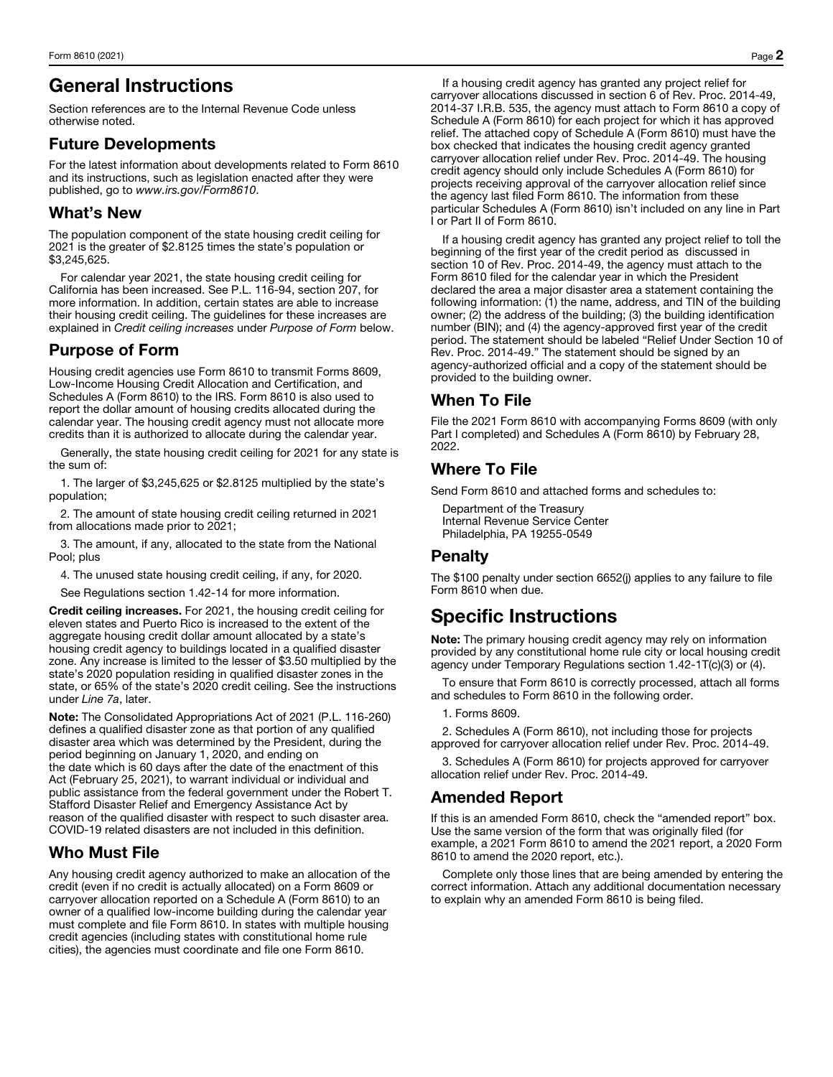# General Instructions

Section references are to the Internal Revenue Code unless otherwise noted.

### Future Developments

For the latest information about developments related to Form 8610 and its instructions, such as legislation enacted after they were published, go to *www.irs.gov/Form8610*.

## What's New

The population component of the state housing credit ceiling for 2021 is the greater of \$2.8125 times the state's population or \$3,245,625.

For calendar year 2021, the state housing credit ceiling for California has been increased. See P.L. 116-94, section 207, for more information. In addition, certain states are able to increase their housing credit ceiling. The guidelines for these increases are explained in *Credit ceiling increases* under *Purpose of Form* below.

# Purpose of Form

Housing credit agencies use Form 8610 to transmit Forms 8609, Low-Income Housing Credit Allocation and Certification, and Schedules A (Form 8610) to the IRS. Form 8610 is also used to report the dollar amount of housing credits allocated during the calendar year. The housing credit agency must not allocate more credits than it is authorized to allocate during the calendar year.

Generally, the state housing credit ceiling for 2021 for any state is the sum of:

1. The larger of \$3,245,625 or \$2.8125 multiplied by the state's population;

2. The amount of state housing credit ceiling returned in 2021 from allocations made prior to 2021;

3. The amount, if any, allocated to the state from the National Pool; plus

4. The unused state housing credit ceiling, if any, for 2020.

See Regulations section 1.42-14 for more information.

Credit ceiling increases. For 2021, the housing credit ceiling for eleven states and Puerto Rico is increased to the extent of the aggregate housing credit dollar amount allocated by a state's housing credit agency to buildings located in a qualified disaster zone. Any increase is limited to the lesser of \$3.50 multiplied by the state's 2020 population residing in qualified disaster zones in the state, or 65% of the state's 2020 credit ceiling. See the instructions under *Line 7a*, later.

Note: The Consolidated Appropriations Act of 2021 (P.L. 116-260) defines a qualified disaster zone as that portion of any qualified disaster area which was determined by the President, during the period beginning on January 1, 2020, and ending on the date which is 60 days after the date of the enactment of this Act (February 25, 2021), to warrant individual or individual and public assistance from the federal government under the Robert T. Stafford Disaster Relief and Emergency Assistance Act by reason of the qualified disaster with respect to such disaster area. COVID-19 related disasters are not included in this definition.

## Who Must File

Any housing credit agency authorized to make an allocation of the credit (even if no credit is actually allocated) on a Form 8609 or carryover allocation reported on a Schedule A (Form 8610) to an owner of a qualified low-income building during the calendar year must complete and file Form 8610. In states with multiple housing credit agencies (including states with constitutional home rule cities), the agencies must coordinate and file one Form 8610.

If a housing credit agency has granted any project relief for carryover allocations discussed in section 6 of Rev. Proc. 2014-49, 2014-37 I.R.B. 535, the agency must attach to Form 8610 a copy of Schedule A (Form 8610) for each project for which it has approved relief. The attached copy of Schedule A (Form 8610) must have the box checked that indicates the housing credit agency granted carryover allocation relief under Rev. Proc. 2014-49. The housing credit agency should only include Schedules A (Form 8610) for projects receiving approval of the carryover allocation relief since the agency last filed Form 8610. The information from these particular Schedules A (Form 8610) isn't included on any line in Part I or Part II of Form 8610.

If a housing credit agency has granted any project relief to toll the beginning of the first year of the credit period as discussed in section 10 of Rev. Proc. 2014-49, the agency must attach to the Form 8610 filed for the calendar year in which the President declared the area a major disaster area a statement containing the following information: (1) the name, address, and TIN of the building owner; (2) the address of the building; (3) the building identification number (BIN); and (4) the agency-approved first year of the credit period. The statement should be labeled "Relief Under Section 10 of Rev. Proc. 2014-49." The statement should be signed by an agency-authorized official and a copy of the statement should be provided to the building owner.

## When To File

File the 2021 Form 8610 with accompanying Forms 8609 (with only Part I completed) and Schedules A (Form 8610) by February 28, 2022.

### Where To File

Send Form 8610 and attached forms and schedules to:

Department of the Treasury Internal Revenue Service Center Philadelphia, PA 19255-0549

### Penalty

The \$100 penalty under section 6652(j) applies to any failure to file Form 8610 when due.

# Specific Instructions

Note: The primary housing credit agency may rely on information provided by any constitutional home rule city or local housing credit agency under Temporary Regulations section 1.42-1T(c)(3) or (4).

To ensure that Form 8610 is correctly processed, attach all forms and schedules to Form 8610 in the following order.

1. Forms 8609.

2. Schedules A (Form 8610), not including those for projects approved for carryover allocation relief under Rev. Proc. 2014-49.

3. Schedules A (Form 8610) for projects approved for carryover allocation relief under Rev. Proc. 2014-49.

## Amended Report

If this is an amended Form 8610, check the "amended report" box. Use the same version of the form that was originally filed (for example, a 2021 Form 8610 to amend the 2021 report, a 2020 Form 8610 to amend the 2020 report, etc.).

Complete only those lines that are being amended by entering the correct information. Attach any additional documentation necessary to explain why an amended Form 8610 is being filed.